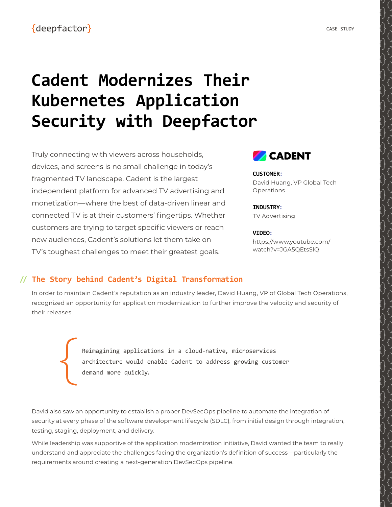# **Cadent Modernizes Their Kubernetes Application Security with Deepfactor**

Truly connecting with viewers across households, devices, and screens is no small challenge in today's fragmented TV landscape. Cadent is the largest independent platform for advanced TV advertising and monetization—where the best of data-driven linear and connected TV is at their customers' fingertips. Whether customers are trying to target specific viewers or reach new audiences, Cadent's solutions let them take on TV's toughest challenges to meet their greatest goals.



#### **CUSTOMER:**

David Huang, VP Global Tech Operations

#### **INDUSTRY:**

TV Advertising

#### **VIDEO:**

[https://www.youtube.com/](https://www.youtube.com/watch?v=JGA5QEtsSlQ) [watch?v=JGA5QEtsSlQ](https://www.youtube.com/watch?v=JGA5QEtsSlQ)

### **// The Story behind Cadent's Digital Transformation**

In order to maintain Cadent's reputation as an industry leader, David Huang, VP of Global Tech Operations, recognized an opportunity for application modernization to further improve the velocity and security of their releases.

> Reimagining applications in a cloud-native, microservices architecture would enable Cadent to address growing customer demand more quickly.

David also saw an opportunity to establish a proper DevSecOps pipeline to automate the integration of security at every phase of the software development lifecycle (SDLC), from initial design through integration, testing, staging, deployment, and delivery.

While leadership was supportive of the application modernization initiative, David wanted the team to really understand and appreciate the challenges facing the organization's definition of success—particularly the requirements around creating a next-generation DevSecOps pipeline.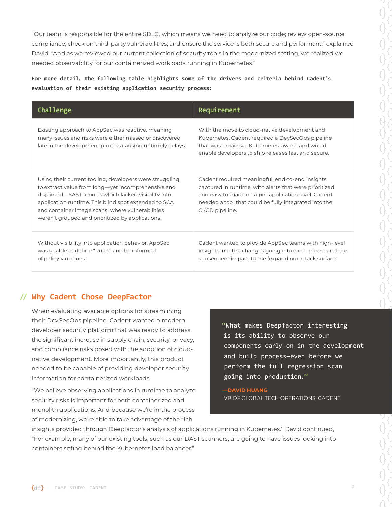"Our team is responsible for the entire SDLC, which means we need to analyze our code; review open-source compliance; check on third-party vulnerabilities, and ensure the service is both secure and performant," explained David. "And as we reviewed our current collection of security tools in the modernized setting, we realized we needed observability for our containerized workloads running in Kubernetes."

**For more detail, the following table highlights some of the drivers and criteria behind Cadent's evaluation of their existing application security process:**

| Challenge                                                                                                                                                                                                                                                                                                                             | Requirement                                                                                                                                                                                                                                    |
|---------------------------------------------------------------------------------------------------------------------------------------------------------------------------------------------------------------------------------------------------------------------------------------------------------------------------------------|------------------------------------------------------------------------------------------------------------------------------------------------------------------------------------------------------------------------------------------------|
| Existing approach to AppSec was reactive, meaning<br>many issues and risks were either missed or discovered<br>late in the development process causing untimely delays.                                                                                                                                                               | With the move to cloud-native development and<br>Kubernetes, Cadent required a DevSecOps pipeline<br>that was proactive, Kubernetes-aware, and would<br>enable developers to ship releases fast and secure.                                    |
| Using their current tooling, developers were struggling<br>to extract value from long—yet incomprehensive and<br>disjointed—SAST reports which lacked visibility into<br>application runtime. This blind spot extended to SCA<br>and container image scans, where vulnerabilities<br>weren't grouped and prioritized by applications. | Cadent required meaningful, end-to-end insights<br>captured in runtime, with alerts that were prioritized<br>and easy to triage on a per-application level. Cadent<br>needed a tool that could be fully integrated into the<br>CI/CD pipeline. |
| Without visibility into application behavior, AppSec<br>was unable to define "Rules" and be informed<br>of policy violations.                                                                                                                                                                                                         | Cadent wanted to provide AppSec teams with high-level<br>insights into the changes going into each release and the<br>subsequent impact to the (expanding) attack surface.                                                                     |

## **// Why Cadent Chose DeepFactor**

When evaluating available options for streamlining their DevSecOps pipeline, Cadent wanted a modern developer security platform that was ready to address the significant increase in supply chain, security, privacy, and compliance risks posed with the adoption of cloudnative development. More importantly, this product needed to be capable of providing developer security information for containerized workloads.

"We believe observing applications in runtime to analyze security risks is important for both containerized and monolith applications. And because we're in the process of modernizing, we're able to take advantage of the rich

"What makes Deepfactor interesting is its ability to observe our components early on in the development and build process—even before we perform the full regression scan going into production."

**—DAVID HUANG** VP OF GLOBAL TECH OPERATIONS, CADENT

insights provided through Deepfactor's analysis of applications running in Kubernetes." David continued, "For example, many of our existing tools, such as our DAST scanners, are going to have issues looking into containers sitting behind the Kubernetes load balancer."